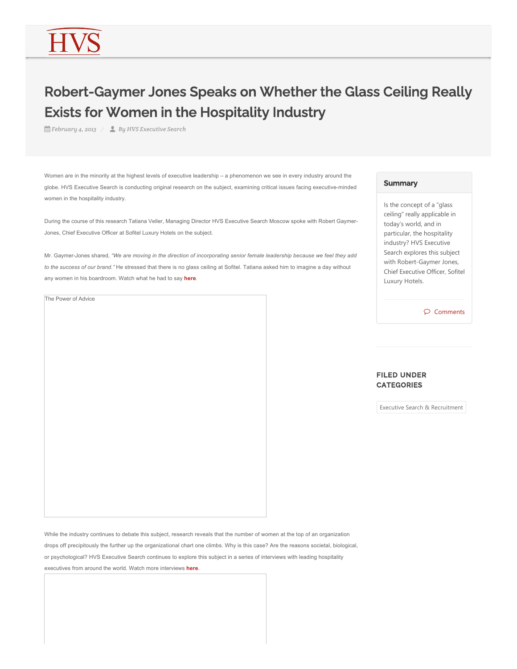# Robert-Gaymer Jones Speaks on Whether the Glass Ceiling Really Exists for Women in the Hospitality Industry

*February 4, 2013 By HVS Executive Search*

Women are in the minority at the highest levels of executive leadership – a phenomenon we see in every industry around the globe. HVS Executive Search is conducting original research on the subject, examining critical issues facing executive-minded women in the hospitality industry.

During the course of this research Tatiana Veller, Managing Director HVS Executive Search Moscow spoke with Robert Gaymer-Jones, Chief Executive Officer at Sofitel Luxury Hotels on the subject.

Mr. Gaymer-Jones shared, *"We are moving in the direction of incorporating senior female leadership because we feel they add to the success of our brand."* He stressed that there is no glass ceiling at Sofitel. Tatiana asked him to imagine a day without any women in his boardroom. Watch what he had to say **here**.

The Power of Advice

#### **Summary**

Is the concept of a "glass ceiling" really applicable in today's world, and in particular, the hospitality industry? HVS Executive Search explores this subject with Robert‐Gaymer Jones, Chief Executive Officer, Sofitel Luxury Hotels.

Comments

#### FILED UNDER **CATEGORIES**

Executive Search & Recruitment

While the industry continues to debate this subject, research reveals that the number of women at the top of an organization drops off precipitously the further up the organizational chart one climbs. Why is this case? Are the reasons societal, biological, or psychological? HVS Executive Search continues to explore this subject in a series of interviews with leading hospitality executives from around the world. Watch more interviews **here**.